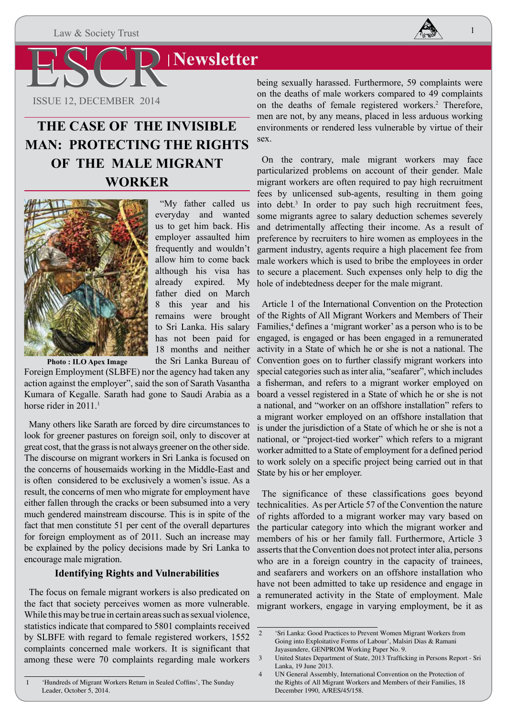

1

**Newsletter** 

ESCR ISSUE 12, DECEMBER 2014

# **THE CASE OF THE INVISIBLE MAN: PROTECTING THE RIGHTS OF THE MALE MIGRANT WORKER**



"My father called us everyday and wanted us to get him back. His employer assaulted him frequently and wouldn't allow him to come back although his visa has already expired. My father died on March 8 this year and his remains were brought to Sri Lanka. His salary has not been paid for 18 months and neither the Sri Lanka Bureau of

Foreign Employment (SLBFE) nor the agency had taken any action against the employer", said the son of Sarath Vasantha Kumara of Kegalle. Sarath had gone to Saudi Arabia as a horse rider in  $2011$ .<sup>1</sup>

Many others like Sarath are forced by dire circumstances to look for greener pastures on foreign soil, only to discover at great cost, that the grass is not always greener on the other side. The discourse on migrant workers in Sri Lanka is focused on the concerns of housemaids working in the Middle-East and is often considered to be exclusively a women's issue. As a result, the concerns of men who migrate for employment have either fallen through the cracks or been subsumed into a very much gendered mainstream discourse. This is in spite of the fact that men constitute 51 per cent of the overall departures for foreign employment as of 2011. Such an increase may be explained by the policy decisions made by Sri Lanka to encourage male migration.

### **Identifying Rights and Vulnerabilities**

The focus on female migrant workers is also predicated on the fact that society perceives women as more vulnerable. While this may be true in certain areas such as sexual violence, statistics indicate that compared to 5801 complaints received by SLBFE with regard to female registered workers, 1552 complaints concerned male workers. It is significant that among these were 70 complaints regarding male workers

'Hundreds of Migrant Workers Return in Sealed Coffins', The Sunday Leader, October 5, 2014.

being sexually harassed. Furthermore, 59 complaints were on the deaths of male workers compared to 49 complaints on the deaths of female registered workers.<sup>2</sup> Therefore, men are not, by any means, placed in less arduous working environments or rendered less vulnerable by virtue of their sex.

On the contrary, male migrant workers may face particularized problems on account of their gender. Male migrant workers are often required to pay high recruitment fees by unlicensed sub-agents, resulting in them going into debt.<sup>3</sup> In order to pay such high recruitment fees, some migrants agree to salary deduction schemes severely and detrimentally affecting their income. As a result of preference by recruiters to hire women as employees in the garment industry, agents require a high placement fee from male workers which is used to bribe the employees in order to secure a placement. Such expenses only help to dig the hole of indebtedness deeper for the male migrant.

Article 1 of the International Convention on the Protection of the Rights of All Migrant Workers and Members of Their Families,<sup>4</sup> defines a 'migrant worker' as a person who is to be engaged, is engaged or has been engaged in a remunerated activity in a State of which he or she is not a national. The Convention goes on to further classify migrant workers into special categories such as inter alia, "seafarer", which includes a fisherman, and refers to a migrant worker employed on board a vessel registered in a State of which he or she is not a national, and "worker on an offshore installation" refers to a migrant worker employed on an offshore installation that is under the jurisdiction of a State of which he or she is not a national, or "project-tied worker" which refers to a migrant worker admitted to a State of employment for a defined period to work solely on a specific project being carried out in that State by his or her employer.

The significance of these classifications goes beyond technicalities. As per Article 57 of the Convention the nature of rights afforded to a migrant worker may vary based on the particular category into which the migrant worker and members of his or her family fall. Furthermore, Article 3 asserts that the Convention does not protect inter alia, persons who are in a foreign country in the capacity of trainees, and seafarers and workers on an offshore installation who have not been admitted to take up residence and engage in a remunerated activity in the State of employment. Male migrant workers, engage in varying employment, be it as

<sup>2 &#</sup>x27;Sri Lanka: Good Practices to Prevent Women Migrant Workers from Going into Exploitative Forms of Labour', Malsiri Dias & Ramani Jayasundere, GENPROM Working Paper No. 9.

<sup>3</sup> United States Department of State, 2013 Trafficking in Persons Report - Sri Lanka, 19 June 2013.

<sup>4</sup> UN General Assembly, International Convention on the Protection of the Rights of All Migrant Workers and Members of their Families, 18 December 1990, A/RES/45/158.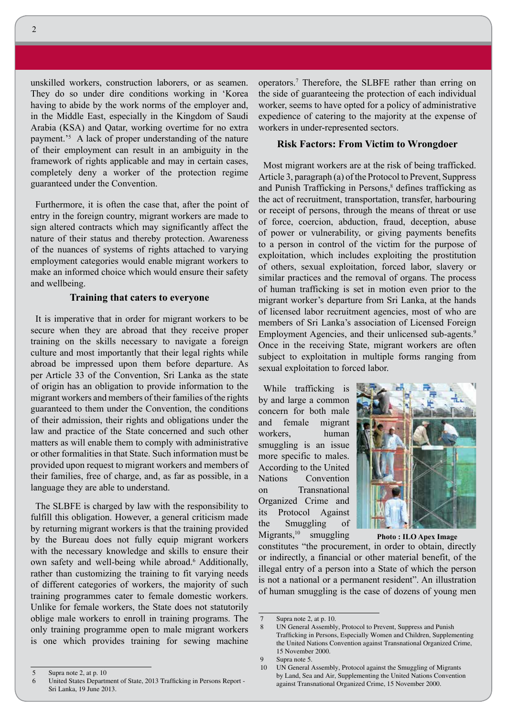unskilled workers, construction laborers, or as seamen. They do so under dire conditions working in 'Korea having to abide by the work norms of the employer and, in the Middle East, especially in the Kingdom of Saudi Arabia (KSA) and Qatar, working overtime for no extra payment.'5 A lack of proper understanding of the nature of their employment can result in an ambiguity in the framework of rights applicable and may in certain cases, completely deny a worker of the protection regime guaranteed under the Convention.

Furthermore, it is often the case that, after the point of entry in the foreign country, migrant workers are made to sign altered contracts which may significantly affect the nature of their status and thereby protection. Awareness of the nuances of systems of rights attached to varying employment categories would enable migrant workers to make an informed choice which would ensure their safety and wellbeing.

### **Training that caters to everyone**

It is imperative that in order for migrant workers to be secure when they are abroad that they receive proper training on the skills necessary to navigate a foreign culture and most importantly that their legal rights while abroad be impressed upon them before departure. As per Article 33 of the Convention, Sri Lanka as the state of origin has an obligation to provide information to the migrant workers and members of their families of the rights guaranteed to them under the Convention, the conditions of their admission, their rights and obligations under the law and practice of the State concerned and such other matters as will enable them to comply with administrative or other formalities in that State. Such information must be provided upon request to migrant workers and members of their families, free of charge, and, as far as possible, in a language they are able to understand.

The SLBFE is charged by law with the responsibility to fulfill this obligation. However, a general criticism made by returning migrant workers is that the training provided by the Bureau does not fully equip migrant workers with the necessary knowledge and skills to ensure their own safety and well-being while abroad.<sup>6</sup> Additionally, rather than customizing the training to fit varying needs of different categories of workers, the majority of such training programmes cater to female domestic workers. Unlike for female workers, the State does not statutorily oblige male workers to enroll in training programs. The only training programme open to male migrant workers is one which provides training for sewing machine

5 Supra note 2, at p. 10

operators.7 Therefore, the SLBFE rather than erring on the side of guaranteeing the protection of each individual worker, seems to have opted for a policy of administrative expedience of catering to the majority at the expense of workers in under-represented sectors.

### **Risk Factors: From Victim to Wrongdoer**

Most migrant workers are at the risk of being trafficked. Article 3, paragraph (a) of the Protocol to Prevent, Suppress and Punish Trafficking in Persons,<sup>8</sup> defines trafficking as the act of recruitment, transportation, transfer, harbouring or receipt of persons, through the means of threat or use of force, coercion, abduction, fraud, deception, abuse of power or vulnerability, or giving payments benefits to a person in control of the victim for the purpose of exploitation, which includes exploiting the prostitution of others, sexual exploitation, forced labor, slavery or similar practices and the removal of organs. The process of human trafficking is set in motion even prior to the migrant worker's departure from Sri Lanka, at the hands of licensed labor recruitment agencies, most of who are members of Sri Lanka's association of Licensed Foreign Employment Agencies, and their unlicensed sub-agents.<sup>9</sup> Once in the receiving State, migrant workers are often subject to exploitation in multiple forms ranging from sexual exploitation to forced labor.

While trafficking is by and large a common concern for both male and female migrant workers, human smuggling is an issue more specific to males. According to the United Nations Convention on Transnational Organized Crime and its Protocol Against the Smuggling of Migrants, $10$  smuggling



 **Photo : ILO Apex Image**

constitutes "the procurement, in order to obtain, directly or indirectly, a financial or other material benefit, of the illegal entry of a person into a State of which the person is not a national or a permanent resident". An illustration of human smuggling is the case of dozens of young men

United States Department of State, 2013 Trafficking in Persons Report -Sri Lanka, 19 June 2013.

Supra note 2, at p. 10.

<sup>8</sup> UN General Assembly, Protocol to Prevent, Suppress and Punish Trafficking in Persons, Especially Women and Children, Supplementing the United Nations Convention against Transnational Organized Crime, 15 November 2000.

<sup>9</sup> Supra note 5.

<sup>10</sup> UN General Assembly, Protocol against the Smuggling of Migrants by Land, Sea and Air, Supplementing the United Nations Convention against Transnational Organized Crime, 15 November 2000.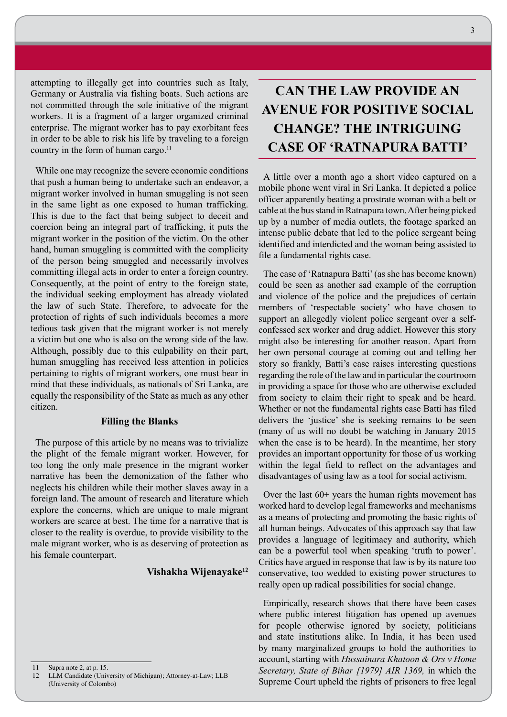attempting to illegally get into countries such as Italy, Germany or Australia via fishing boats. Such actions are not committed through the sole initiative of the migrant workers. It is a fragment of a larger organized criminal enterprise. The migrant worker has to pay exorbitant fees in order to be able to risk his life by traveling to a foreign country in the form of human cargo.<sup>11</sup>

While one may recognize the severe economic conditions that push a human being to undertake such an endeavor, a migrant worker involved in human smuggling is not seen in the same light as one exposed to human trafficking. This is due to the fact that being subject to deceit and coercion being an integral part of trafficking, it puts the migrant worker in the position of the victim. On the other hand, human smuggling is committed with the complicity of the person being smuggled and necessarily involves committing illegal acts in order to enter a foreign country. Consequently, at the point of entry to the foreign state, the individual seeking employment has already violated the law of such State. Therefore, to advocate for the protection of rights of such individuals becomes a more tedious task given that the migrant worker is not merely a victim but one who is also on the wrong side of the law. Although, possibly due to this culpability on their part, human smuggling has received less attention in policies pertaining to rights of migrant workers, one must bear in mind that these individuals, as nationals of Sri Lanka, are equally the responsibility of the State as much as any other citizen.

### **Filling the Blanks**

The purpose of this article by no means was to trivialize the plight of the female migrant worker. However, for too long the only male presence in the migrant worker narrative has been the demonization of the father who neglects his children while their mother slaves away in a foreign land. The amount of research and literature which explore the concerns, which are unique to male migrant workers are scarce at best. The time for a narrative that is closer to the reality is overdue, to provide visibility to the male migrant worker, who is as deserving of protection as his female counterpart.

### **Vishakha Wijenayake12**

# **CAN THE LAW PROVIDE AN AVENUE FOR POSITIVE SOCIAL CHANGE? THE INTRIGUING CASE OF 'RATNAPURA BATTI'**

A little over a month ago a short video captured on a mobile phone went viral in Sri Lanka. It depicted a police officer apparently beating a prostrate woman with a belt or cable at the bus stand in Ratnapura town. After being picked up by a number of media outlets, the footage sparked an intense public debate that led to the police sergeant being identified and interdicted and the woman being assisted to file a fundamental rights case.

The case of 'Ratnapura Batti' (as she has become known) could be seen as another sad example of the corruption and violence of the police and the prejudices of certain members of 'respectable society' who have chosen to support an allegedly violent police sergeant over a selfconfessed sex worker and drug addict. However this story might also be interesting for another reason. Apart from her own personal courage at coming out and telling her story so frankly, Batti's case raises interesting questions regarding the role of the law and in particular the courtroom in providing a space for those who are otherwise excluded from society to claim their right to speak and be heard. Whether or not the fundamental rights case Batti has filed delivers the 'justice' she is seeking remains to be seen (many of us will no doubt be watching in January 2015 when the case is to be heard). In the meantime, her story provides an important opportunity for those of us working within the legal field to reflect on the advantages and disadvantages of using law as a tool for social activism.

Over the last  $60+$  years the human rights movement has worked hard to develop legal frameworks and mechanisms as a means of protecting and promoting the basic rights of all human beings. Advocates of this approach say that law provides a language of legitimacy and authority, which can be a powerful tool when speaking 'truth to power'. Critics have argued in response that law is by its nature too conservative, too wedded to existing power structures to really open up radical possibilities for social change.

Empirically, research shows that there have been cases where public interest litigation has opened up avenues for people otherwise ignored by society, politicians and state institutions alike. In India, it has been used by many marginalized groups to hold the authorities to account, starting with *Hussainara Khatoon & Ors v Home Secretary, State of Bihar [1979] AIR 1369,* in which the Supreme Court upheld the rights of prisoners to free legal

<sup>11</sup> Supra note 2, at p. 15.

<sup>12</sup> LLM Candidate (University of Michigan); Attorney-at-Law; LLB (University of Colombo)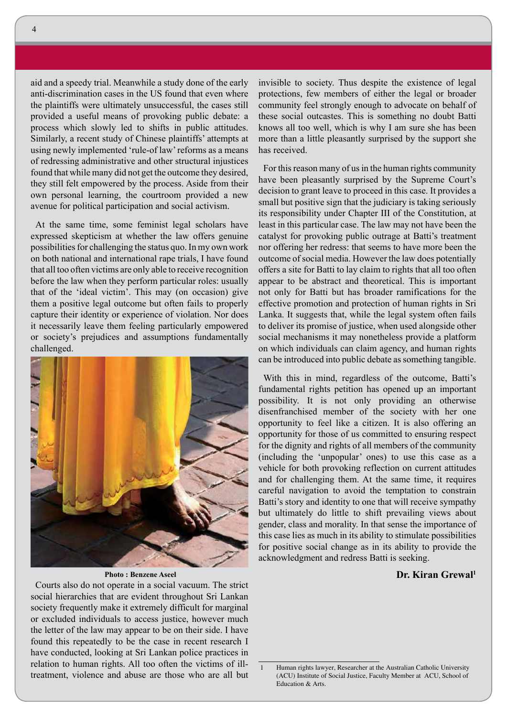4

aid and a speedy trial. Meanwhile a study done of the early anti-discrimination cases in the US found that even where the plaintiffs were ultimately unsuccessful, the cases still provided a useful means of provoking public debate: a process which slowly led to shifts in public attitudes. Similarly, a recent study of Chinese plaintiffs' attempts at using newly implemented 'rule-of law' reforms as a means of redressing administrative and other structural injustices found that while many did not get the outcome they desired, they still felt empowered by the process. Aside from their own personal learning, the courtroom provided a new avenue for political participation and social activism.

At the same time, some feminist legal scholars have expressed skepticism at whether the law offers genuine possibilities for challenging the status quo. In my own work on both national and international rape trials, I have found that all too often victims are only able to receive recognition before the law when they perform particular roles: usually that of the 'ideal victim'. This may (on occasion) give them a positive legal outcome but often fails to properly capture their identity or experience of violation. Nor does it necessarily leave them feeling particularly empowered or society's prejudices and assumptions fundamentally challenged.



#### **Photo : Benzene Aseel**

Courts also do not operate in a social vacuum. The strict social hierarchies that are evident throughout Sri Lankan society frequently make it extremely difficult for marginal or excluded individuals to access justice, however much the letter of the law may appear to be on their side. I have found this repeatedly to be the case in recent research I have conducted, looking at Sri Lankan police practices in relation to human rights. All too often the victims of illtreatment, violence and abuse are those who are all but invisible to society. Thus despite the existence of legal protections, few members of either the legal or broader community feel strongly enough to advocate on behalf of these social outcastes. This is something no doubt Batti knows all too well, which is why I am sure she has been more than a little pleasantly surprised by the support she has received.

For this reason many of us in the human rights community have been pleasantly surprised by the Supreme Court's decision to grant leave to proceed in this case. It provides a small but positive sign that the judiciary is taking seriously its responsibility under Chapter III of the Constitution, at least in this particular case. The law may not have been the catalyst for provoking public outrage at Batti's treatment nor offering her redress: that seems to have more been the outcome of social media. However the law does potentially offers a site for Batti to lay claim to rights that all too often appear to be abstract and theoretical. This is important not only for Batti but has broader ramifications for the effective promotion and protection of human rights in Sri Lanka. It suggests that, while the legal system often fails to deliver its promise of justice, when used alongside other social mechanisms it may nonetheless provide a platform on which individuals can claim agency, and human rights can be introduced into public debate as something tangible.

With this in mind, regardless of the outcome, Batti's fundamental rights petition has opened up an important possibility. It is not only providing an otherwise disenfranchised member of the society with her one opportunity to feel like a citizen. It is also offering an opportunity for those of us committed to ensuring respect for the dignity and rights of all members of the community (including the 'unpopular' ones) to use this case as a vehicle for both provoking reflection on current attitudes and for challenging them. At the same time, it requires careful navigation to avoid the temptation to constrain Batti's story and identity to one that will receive sympathy but ultimately do little to shift prevailing views about gender, class and morality. In that sense the importance of this case lies as much in its ability to stimulate possibilities for positive social change as in its ability to provide the acknowledgment and redress Batti is seeking.

### **Dr. Kiran Grewal1**

Human rights lawyer, Researcher at the Australian Catholic University (ACU) Institute of Social Justice, Faculty Member at ACU, School of Education & Arts.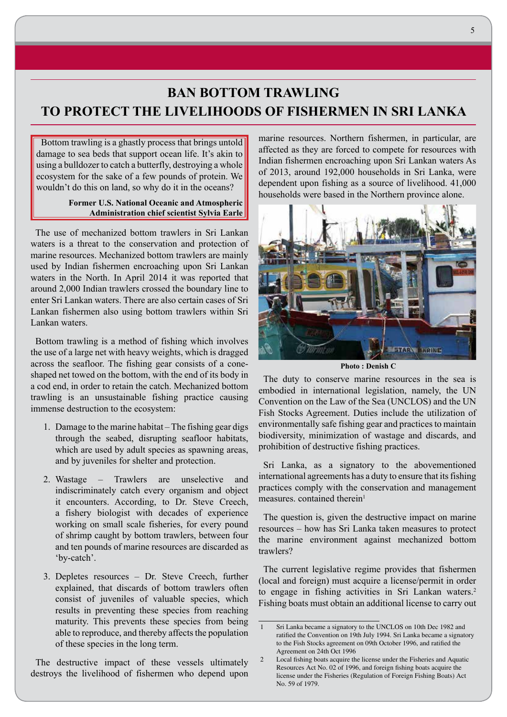## **BAN BOTTOM TRAWLING TO PROTECT THE LIVELIHOODS OF FISHERMEN IN SRI LANKA**

Bottom trawling is a ghastly process that brings untold damage to sea beds that support ocean life. It's akin to using a bulldozer to catch a butterfly, destroying a whole ecosystem for the sake of a few pounds of protein. We wouldn't do this on land, so why do it in the oceans?

### **Former U.S. National Oceanic and Atmospheric Administration chief scientist Sylvia Earle**

The use of mechanized bottom trawlers in Sri Lankan waters is a threat to the conservation and protection of marine resources. Mechanized bottom trawlers are mainly used by Indian fishermen encroaching upon Sri Lankan waters in the North. In April 2014 it was reported that around 2,000 Indian trawlers crossed the boundary line to enter Sri Lankan waters. There are also certain cases of Sri Lankan fishermen also using bottom trawlers within Sri Lankan waters.

Bottom trawling is a method of fishing which involves the use of a large net with heavy weights, which is dragged across the seafloor. The fishing gear consists of a coneshaped net towed on the bottom, with the end of its body in a cod end, in order to retain the catch. Mechanized bottom trawling is an unsustainable fishing practice causing immense destruction to the ecosystem:

- 1. Damage to the marine habitat The fishing gear digs through the seabed, disrupting seafloor habitats, which are used by adult species as spawning areas, and by juveniles for shelter and protection.
- 2. Wastage Trawlers are unselective and indiscriminately catch every organism and object it encounters. According, to Dr. Steve Creech, a fishery biologist with decades of experience working on small scale fisheries, for every pound of shrimp caught by bottom trawlers, between four and ten pounds of marine resources are discarded as 'by-catch'.
- 3. Depletes resources Dr. Steve Creech, further explained, that discards of bottom trawlers often consist of juveniles of valuable species, which results in preventing these species from reaching maturity. This prevents these species from being able to reproduce, and thereby affects the population of these species in the long term.

The destructive impact of these vessels ultimately destroys the livelihood of fishermen who depend upon marine resources. Northern fishermen, in particular, are affected as they are forced to compete for resources with Indian fishermen encroaching upon Sri Lankan waters As of 2013, around 192,000 households in Sri Lanka, were dependent upon fishing as a source of livelihood. 41,000 households were based in the Northern province alone.



 **Photo : Denish C**

The duty to conserve marine resources in the sea is embodied in international legislation, namely, the UN Convention on the Law of the Sea (UNCLOS) and the UN Fish Stocks Agreement. Duties include the utilization of environmentally safe fishing gear and practices to maintain biodiversity, minimization of wastage and discards, and prohibition of destructive fishing practices.

Sri Lanka, as a signatory to the abovementioned international agreements has a duty to ensure that its fishing practices comply with the conservation and management measures. contained therein<sup>1</sup>

The question is, given the destructive impact on marine resources – how has Sri Lanka taken measures to protect the marine environment against mechanized bottom trawlers?

The current legislative regime provides that fishermen (local and foreign) must acquire a license/permit in order to engage in fishing activities in Sri Lankan waters.<sup>2</sup> Fishing boats must obtain an additional license to carry out

Sri Lanka became a signatory to the UNCLOS on 10th Dec 1982 and ratified the Convention on 19th July 1994. Sri Lanka became a signatory to the Fish Stocks agreement on 09th October 1996, and ratified the Agreement on 24th Oct 1996

<sup>2</sup> Local fishing boats acquire the license under the Fisheries and Aquatic Resources Act No. 02 of 1996, and foreign fishing boats acquire the license under the Fisheries (Regulation of Foreign Fishing Boats) Act No. 59 of 1979.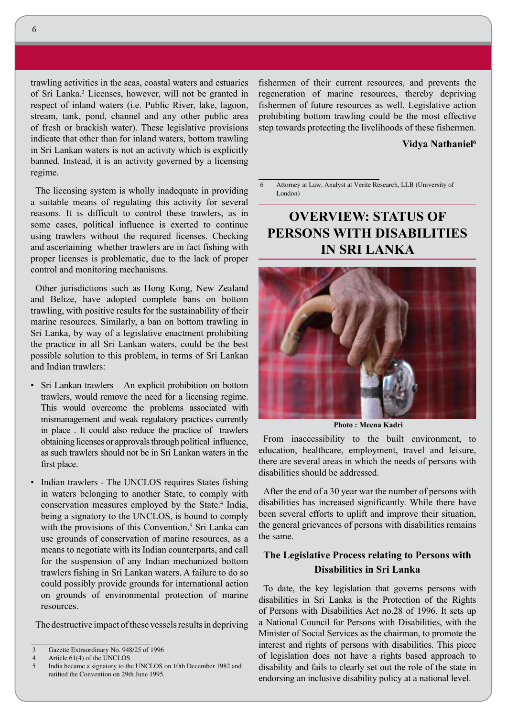trawling activities in the seas, coastal waters and estuaries of Sri Lanka.3 Licenses, however, will not be granted in respect of inland waters (i.e. Public River, lake, lagoon, stream, tank, pond, channel and any other public area of fresh or brackish water). These legislative provisions indicate that other than for inland waters, bottom trawling in Sri Lankan waters is not an activity which is explicitly banned. Instead, it is an activity governed by a licensing regime.

The licensing system is wholly inadequate in providing a suitable means of regulating this activity for several reasons. It is difficult to control these trawlers, as in some cases, political influence is exerted to continue using trawlers without the required licenses. Checking and ascertaining whether trawlers are in fact fishing with proper licenses is problematic, due to the lack of proper control and monitoring mechanisms.

Other jurisdictions such as Hong Kong, New Zealand and Belize, have adopted complete bans on bottom trawling, with positive results for the sustainability of their marine resources. Similarly, a ban on bottom trawling in Sri Lanka, by way of a legislative enactment prohibiting the practice in all Sri Lankan waters, could be the best possible solution to this problem, in terms of Sri Lankan and Indian trawlers:

- Sri Lankan trawlers An explicit prohibition on bottom trawlers, would remove the need for a licensing regime. This would overcome the problems associated with mismanagement and weak regulatory practices currently in place . It could also reduce the practice of trawlers obtaining licenses or approvals through political influence, as such trawlers should not be in Sri Lankan waters in the first place.
- Indian trawlers The UNCLOS requires States fishing in waters belonging to another State, to comply with conservation measures employed by the State.<sup>4</sup> India, being a signatory to the UNCLOS, is bound to comply with the provisions of this Convention.<sup>5</sup> Sri Lanka can use grounds of conservation of marine resources, as a means to negotiate with its Indian counterparts, and call for the suspension of any Indian mechanized bottom trawlers fishing in Sri Lankan waters. A failure to do so could possibly provide grounds for international action on grounds of environmental protection of marine resources.

The destructive impact of these vessels results in depriving

fishermen of their current resources, and prevents the regeneration of marine resources, thereby depriving fishermen of future resources as well. Legislative action prohibiting bottom trawling could be the most effective step towards protecting the livelihoods of these fishermen.

### **Vidya Nathaniel6**

6 Attorney at Law, Analyst at Verite Research, LLB (University of London)

## **OVERVIEW: STATUS OF PERSONS WITH DISABILITIES IN SRI LANKA**



 **Photo : Meena Kadri**

From inaccessibility to the built environment, to education, healthcare, employment, travel and leisure, there are several areas in which the needs of persons with disabilities should be addressed.

After the end of a 30 year war the number of persons with disabilities has increased significantly. While there have been several efforts to uplift and improve their situation, the general grievances of persons with disabilities remains the same.

### **The Legislative Process relating to Persons with Disabilities in Sri Lanka**

To date, the key legislation that governs persons with disabilities in Sri Lanka is the Protection of the Rights of Persons with Disabilities Act no.28 of 1996. It sets up a National Council for Persons with Disabilities, with the Minister of Social Services as the chairman, to promote the interest and rights of persons with disabilities. This piece of legislation does not have a rights based approach to disability and fails to clearly set out the role of the state in endorsing an inclusive disability policy at a national level.

<sup>3</sup> Gazette Extraordinary No. 948/25 of 1996<br>4 Article 61(4) of the UNCLOS

Article  $61(4)$  of the UNCLOS

<sup>5</sup> India became a signatory to the UNCLOS on 10th December 1982 and ratified the Convention on 29th June 1995.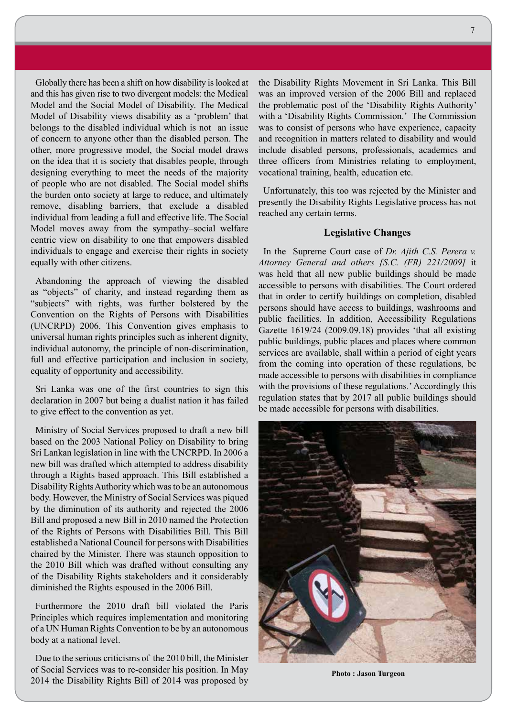Globally there has been a shift on how disability is looked at and this has given rise to two divergent models: the Medical Model and the Social Model of Disability. The Medical Model of Disability views disability as a 'problem' that belongs to the disabled individual which is not an issue of concern to anyone other than the disabled person. The other, more progressive model, the Social model draws on the idea that it is society that disables people, through designing everything to meet the needs of the majority of people who are not disabled. The Social model shifts the burden onto society at large to reduce, and ultimately remove, disabling barriers, that exclude a disabled individual from leading a full and effective life. The Social Model moves away from the sympathy–social welfare centric view on disability to one that empowers disabled individuals to engage and exercise their rights in society equally with other citizens.

Abandoning the approach of viewing the disabled as "objects" of charity, and instead regarding them as "subjects" with rights, was further bolstered by the Convention on the Rights of Persons with Disabilities (UNCRPD) 2006. This Convention gives emphasis to universal human rights principles such as inherent dignity, individual autonomy, the principle of non-discrimination, full and effective participation and inclusion in society, equality of opportunity and accessibility.

Sri Lanka was one of the first countries to sign this declaration in 2007 but being a dualist nation it has failed to give effect to the convention as yet.

Ministry of Social Services proposed to draft a new bill based on the 2003 National Policy on Disability to bring Sri Lankan legislation in line with the UNCRPD. In 2006 a new bill was drafted which attempted to address disability through a Rights based approach. This Bill established a Disability Rights Authority which was to be an autonomous body. However, the Ministry of Social Services was piqued by the diminution of its authority and rejected the 2006 Bill and proposed a new Bill in 2010 named the Protection of the Rights of Persons with Disabilities Bill. This Bill established a National Council for persons with Disabilities chaired by the Minister. There was staunch opposition to the 2010 Bill which was drafted without consulting any of the Disability Rights stakeholders and it considerably diminished the Rights espoused in the 2006 Bill.

Furthermore the 2010 draft bill violated the Paris Principles which requires implementation and monitoring of a UN Human Rights Convention to be by an autonomous body at a national level.

Due to the serious criticisms of the 2010 bill, the Minister of Social Services was to re-consider his position. In May 2014 the Disability Rights Bill of 2014 was proposed by

the Disability Rights Movement in Sri Lanka. This Bill was an improved version of the 2006 Bill and replaced the problematic post of the 'Disability Rights Authority' with a 'Disability Rights Commission.' The Commission was to consist of persons who have experience, capacity and recognition in matters related to disability and would include disabled persons, professionals, academics and three officers from Ministries relating to employment, vocational training, health, education etc.

Unfortunately, this too was rejected by the Minister and presently the Disability Rights Legislative process has not reached any certain terms.

### **Legislative Changes**

In the Supreme Court case of *Dr. Ajith C.S. Perera v. Attorney General and others [S.C. (FR) 221/2009]* it was held that all new public buildings should be made accessible to persons with disabilities. The Court ordered that in order to certify buildings on completion, disabled persons should have access to buildings, washrooms and public facilities. In addition, Accessibility Regulations Gazette 1619/24 (2009.09.18) provides 'that all existing public buildings, public places and places where common services are available, shall within a period of eight years from the coming into operation of these regulations, be made accessible to persons with disabilities in compliance with the provisions of these regulations.' Accordingly this regulation states that by 2017 all public buildings should be made accessible for persons with disabilities.



 **Photo : Jason Turgeon**